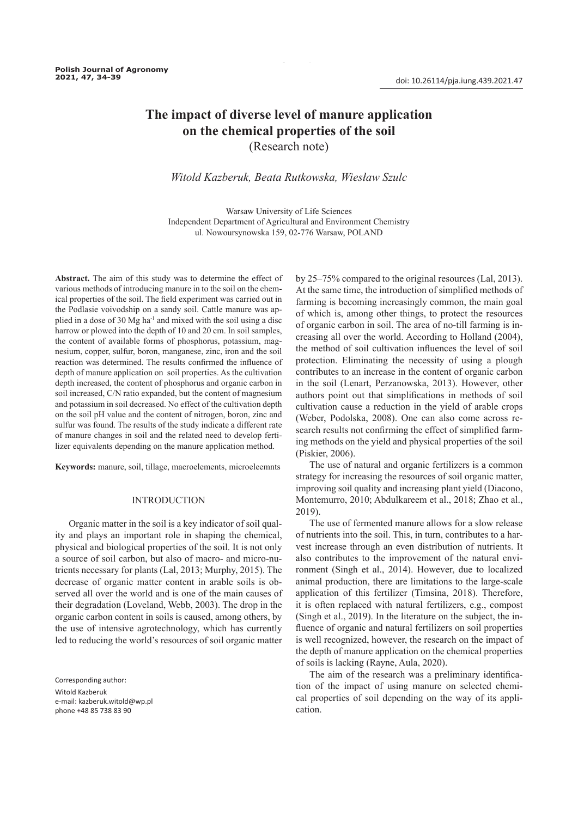# **The impact of diverse level of manure application on the chemical properties of the soil**  (Research note)

34 Polish Journal of Agronomy, No. 47, 2021

# *Witold Kazberuk, Beata Rutkowska, Wiesław Szulc*

Warsaw University of Life Sciences Independent Department of Agricultural and Environment Chemistry ul. Nowoursynowska 159, 02-776 Warsaw, POLAND

**Abstract.** The aim of this study was to determine the effect of various methods of introducing manure in to the soil on the chemical properties of the soil. The field experiment was carried out in the Podlasie voivodship on a sandy soil. Cattle manure was applied in a dose of 30 Mg ha-1 and mixed with the soil using a disc harrow or plowed into the depth of 10 and 20 cm. In soil samples, the content of available forms of phosphorus, potassium, magnesium, copper, sulfur, boron, manganese, zinc, iron and the soil reaction was determined. The results confirmed the influence of depth of manure application on soil properties. As the cultivation depth increased, the content of phosphorus and organic carbon in soil increased, C/N ratio expanded, but the content of magnesium and potassium in soil decreased. No effect of the cultivation depth on the soil pH value and the content of nitrogen, boron, zinc and sulfur was found. The results of the study indicate a different rate of manure changes in soil and the related need to develop fertilizer equivalents depending on the manure application method.

**Keywords:** manure, soil, tillage, macroelements, microeleemnts

#### INTRODUCTION

Organic matter in the soil is a key indicator of soil quality and plays an important role in shaping the chemical, physical and biological properties of the soil. It is not only a source of soil carbon, but also of macro- and micro-nutrients necessary for plants (Lal, 2013; Murphy, 2015). The decrease of organic matter content in arable soils is observed all over the world and is one of the main causes of their degradation (Loveland, Webb, 2003). The drop in the organic carbon content in soils is caused, among others, by the use of intensive agrotechnology, which has currently led to reducing the world's resources of soil organic matter

Corresponding author:

Witold Kazberuk e-mail: kazberuk.witold@wp.pl phone +48 85 738 83 90

by 25–75% compared to the original resources (Lal, 2013). At the same time, the introduction of simplified methods of farming is becoming increasingly common, the main goal of which is, among other things, to protect the resources of organic carbon in soil. The area of no-till farming is increasing all over the world. According to Holland (2004), the method of soil cultivation influences the level of soil protection. Eliminating the necessity of using a plough contributes to an increase in the content of organic carbon in the soil (Lenart, Perzanowska, 2013). However, other authors point out that simplifications in methods of soil cultivation cause a reduction in the yield of arable crops (Weber, Podolska, 2008). One can also come across research results not confirming the effect of simplified farming methods on the yield and physical properties of the soil (Piskier, 2006).

The use of natural and organic fertilizers is a common strategy for increasing the resources of soil organic matter, improving soil quality and increasing plant yield (Diacono, Montemurro, 2010; Abdulkareem et al., 2018; Zhao et al., 2019).

The use of fermented manure allows for a slow release of nutrients into the soil. This, in turn, contributes to a harvest increase through an even distribution of nutrients. It also contributes to the improvement of the natural environment (Singh et al., 2014). However, due to localized animal production, there are limitations to the large-scale application of this fertilizer (Timsina, 2018). Therefore, it is often replaced with natural fertilizers, e.g., compost (Singh et al., 2019). In the literature on the subject, the influence of organic and natural fertilizers on soil properties is well recognized, however, the research on the impact of the depth of manure application on the chemical properties of soils is lacking (Rayne, Aula, 2020).

The aim of the research was a preliminary identification of the impact of using manure on selected chemical properties of soil depending on the way of its application.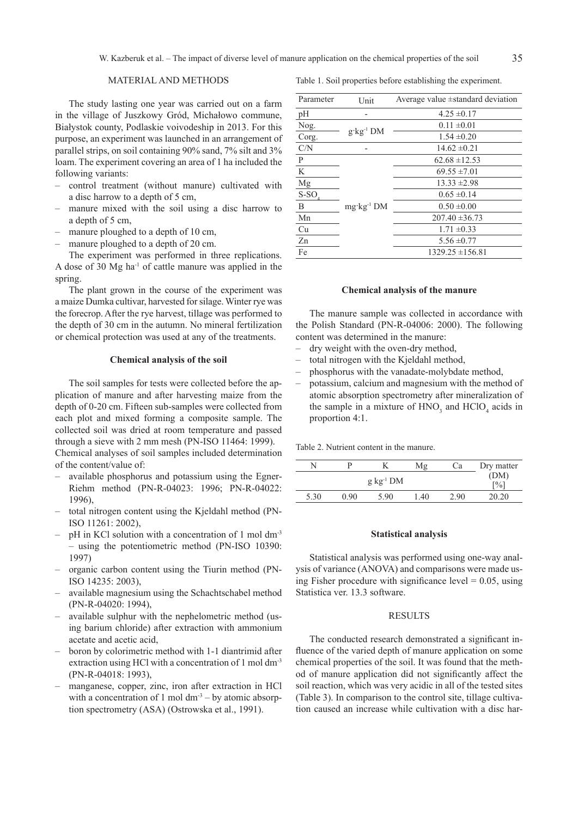# MATERIAL AND METHODS

The study lasting one year was carried out on a farm in the village of Juszkowy Gród, Michałowo commune, Białystok county, Podlaskie voivodeship in 2013. For this purpose, an experiment was launched in an arrangement of parallel strips, on soil containing 90% sand, 7% silt and 3% loam. The experiment covering an area of 1 ha included the following variants:

- control treatment (without manure) cultivated with a disc harrow to a depth of 5 cm,
- manure mixed with the soil using a disc harrow to a depth of 5 cm,
- manure ploughed to a depth of 10 cm,
- manure ploughed to a depth of 20 cm.

The experiment was performed in three replications. A dose of 30 Mg ha-1 of cattle manure was applied in the spring.

The plant grown in the course of the experiment was a maize Dumka cultivar, harvested for silage. Winter rye was the forecrop. After the rye harvest, tillage was performed to the depth of 30 cm in the autumn. No mineral fertilization or chemical protection was used at any of the treatments.

#### **Chemical analysis of the soil**

The soil samples for tests were collected before the application of manure and after harvesting maize from the depth of 0-20 cm. Fifteen sub-samples were collected from each plot and mixed forming a composite sample. The collected soil was dried at room temperature and passed through a sieve with 2 mm mesh (PN-ISO 11464: 1999).

Chemical analyses of soil samples included determination of the content/value of:

- available phosphorus and potassium using the Egner-Riehm method (PN-R-04023: 1996; PN-R-04022: 1996),
- total nitrogen content using the Kjeldahl method (PN-ISO 11261: 2002),
- pH in KCl solution with a concentration of 1 mol dm<sup>-3</sup> – using the potentiometric method (PN-ISO 10390: 1997)
- organic carbon content using the Tiurin method (PN-ISO 14235: 2003),
- available magnesium using the Schachtschabel method (PN-R-04020: 1994),
- available sulphur with the nephelometric method (using barium chloride) after extraction with ammonium acetate and acetic acid,
- boron by colorimetric method with 1-1 diantrimid after extraction using HCl with a concentration of 1 mol dm<sup>-3</sup> (PN-R-04018: 1993),
- manganese, copper, zinc, iron after extraction in HCl with a concentration of 1 mol  $dm<sup>3</sup> - by atomic absorp$ tion spectrometry (ASA) (Ostrowska et al., 1991).

Table 1. Soil properties before establishing the experiment.

| Parameter | Unit                         | Average value $\pm$ standard deviation |  |  |
|-----------|------------------------------|----------------------------------------|--|--|
| pН        |                              | $4.25 \pm 0.17$                        |  |  |
| Nog.      |                              | $0.11 \pm 0.01$                        |  |  |
| Corg.     | $g$ kg <sup>-1</sup> DM      | $1.54 \pm 0.20$                        |  |  |
| C/N       |                              | $14.62 \pm 0.21$                       |  |  |
| P         | $mg$ · $kg$ <sup>-1</sup> DM | $62.68 \pm 12.53$                      |  |  |
| K         |                              | $69.55 \pm 7.01$                       |  |  |
| Mg        |                              | $13.33 \pm 2.98$                       |  |  |
| $S-SO4$   |                              | $0.65 \pm 0.14$                        |  |  |
| B         |                              | $0.50 \pm 0.00$                        |  |  |
| Mn        |                              | $207.40 \pm 36.73$                     |  |  |
| Cu        |                              | $1.71 \pm 0.33$                        |  |  |
| Zn        |                              | $5.56 \pm 0.77$                        |  |  |
| Fe        |                              | $1329.25 \pm 156.81$                   |  |  |

## **Chemical analysis of the manure**

The manure sample was collected in accordance with the Polish Standard (PN-R-04006: 2000). The following content was determined in the manure:

- dry weight with the oven-dry method.
- total nitrogen with the Kjeldahl method,
- phosphorus with the vanadate-molybdate method,
- potassium, calcium and magnesium with the method of atomic absorption spectrometry after mineralization of the sample in a mixture of  $HNO<sub>3</sub>$  and  $HClO<sub>4</sub>$  acids in proportion 4:1.

Table 2. Nutrient content in the manure.

|      |      |                | Mε   | Cа   | Dry matter                          |
|------|------|----------------|------|------|-------------------------------------|
|      |      | $g kg^{-1} DM$ |      |      | (DM)<br>$\lceil \frac{9}{6} \rceil$ |
| 5.30 | 0.90 | 5.90           | 1.40 | 2.90 | 20.20                               |

#### **Statistical analysis**

Statistical analysis was performed using one-way analysis of variance (ANOVA) and comparisons were made using Fisher procedure with significance level  $= 0.05$ , using Statistica ver. 13.3 software.

#### RESULTS

The conducted research demonstrated a significant influence of the varied depth of manure application on some chemical properties of the soil. It was found that the method of manure application did not significantly affect the soil reaction, which was very acidic in all of the tested sites (Table 3). In comparison to the control site, tillage cultivation caused an increase while cultivation with a disc har-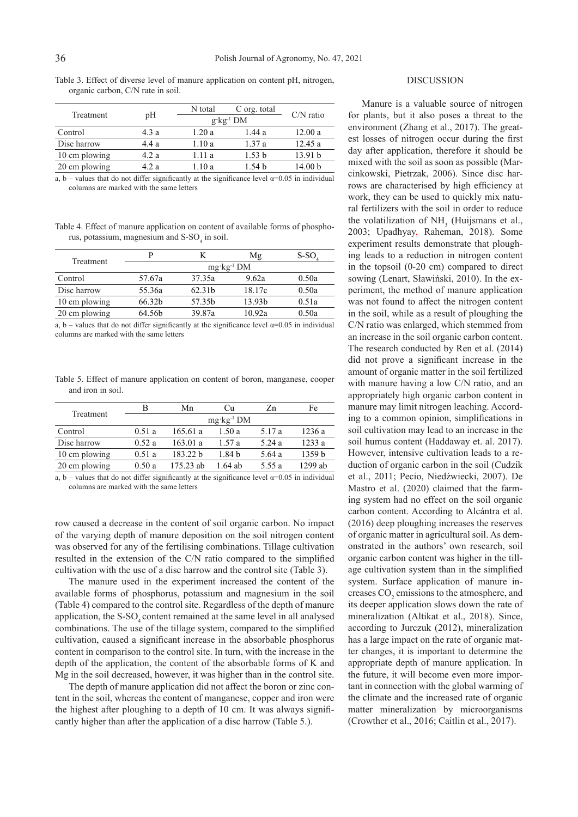| $\sigma$      |       |         |                          |                    |
|---------------|-------|---------|--------------------------|--------------------|
|               | pH    | N total | C org. total             | $C/N$ ratio        |
| Treatment     |       |         | $g$ ·kg <sup>-1</sup> DM |                    |
| Control       | 4.3 a | 1.20a   | 1.44 a                   | 12.00a             |
| Disc harrow   | 4.4 a | 1.10 a  | 1.37 a                   | 12.45a             |
| 10 cm plowing | 4.2 a | 1.11 a  | 1.53 b                   | 13.91 b            |
| 20 cm plowing | 4.2 a | 1.10 a  | 1.54 b                   | 14.00 <sub>b</sub> |

Table 3. Effect of diverse level of manure application on content pH, nitrogen, organic carbon, C/N rate in soil.

a, b – values that do not differ significantly at the significance level  $\alpha$ =0.05 in individual columns are marked with the same letters

Table 4. Effect of manure application on content of available forms of phosphorus, potassium, magnesium and  $S-SO<sub>4</sub>$  in soil.

| Treatment     | D                            |        | Mg                 | S-SO  |  |
|---------------|------------------------------|--------|--------------------|-------|--|
|               | $mg$ · $kg$ <sup>-1</sup> DM |        |                    |       |  |
| Control       | 57.67a                       | 37.35a | 9.62a              | 0.50a |  |
| Disc harrow   | 55.36a                       | 62.31b | 18.17c             | 0.50a |  |
| 10 cm plowing | 66.32b                       | 57.35b | 13.93 <sub>b</sub> | 0.51a |  |
| 20 cm plowing | 64.56b                       | 39.87a | 10.92a             | 0.50a |  |

a, b – values that do not differ significantly at the significance level  $\alpha$ =0.05 in individual columns are marked with the same letters

Table 5. Effect of manure application on content of boron, manganese, cooper and iron in soil.

| Treatment     | В     | Mn          | Сu                    | Zn     | Fe      |
|---------------|-------|-------------|-----------------------|--------|---------|
|               |       |             | $mg \cdot kg^{-1}$ DM |        |         |
| Control       | 0.51a | 165.61 a    | 1.50a                 | 5.17 a | 1236 a  |
| Disc harrow   | 0.52a | 163.01 a    | 1 57 a                | 5.24 a | 1233 a  |
| 10 cm plowing | 0.51a | 183.22 b    | 1.84 b                | 5.64 a | 1359 b  |
| 20 cm plowing | 0.50a | $175.23$ ab | 1.64 ab               | 5.55 a | 1299 ab |

a, b – values that do not differ significantly at the significance level  $\alpha$ =0.05 in individual columns are marked with the same letters

row caused a decrease in the content of soil organic carbon. No impact of the varying depth of manure deposition on the soil nitrogen content was observed for any of the fertilising combinations. Tillage cultivation resulted in the extension of the C/N ratio compared to the simplified cultivation with the use of a disc harrow and the control site (Table 3).

The manure used in the experiment increased the content of the available forms of phosphorus, potassium and magnesium in the soil (Table 4) compared to the control site. Regardless of the depth of manure application, the  $S-SO<sub>4</sub>$  content remained at the same level in all analysed combinations. The use of the tillage system, compared to the simplified cultivation, caused a significant increase in the absorbable phosphorus content in comparison to the control site. In turn, with the increase in the depth of the application, the content of the absorbable forms of K and Mg in the soil decreased, however, it was higher than in the control site.

The depth of manure application did not affect the boron or zinc content in the soil, whereas the content of manganese, copper and iron were the highest after ploughing to a depth of 10 cm. It was always significantly higher than after the application of a disc harrow (Table 5.).

## DISCUSSION

Manure is a valuable source of nitrogen for plants, but it also poses a threat to the environment (Zhang et al., 2017). The greatest losses of nitrogen occur during the first day after application, therefore it should be mixed with the soil as soon as possible (Marcinkowski, Pietrzak, 2006). Since disc harrows are characterised by high efficiency at work, they can be used to quickly mix natural fertilizers with the soil in order to reduce the volatilization of  $NH<sub>3</sub>$  (Huijsmans et al., 2003; Upadhyay, Raheman, 2018). Some experiment results demonstrate that ploughing leads to a reduction in nitrogen content in the topsoil (0-20 cm) compared to direct sowing (Lenart, Sławiński, 2010). In the experiment, the method of manure application was not found to affect the nitrogen content in the soil, while as a result of ploughing the C/N ratio was enlarged, which stemmed from an increase in the soil organic carbon content. The research conducted by Ren et al. (2014) did not prove a significant increase in the amount of organic matter in the soil fertilized with manure having a low C/N ratio, and an appropriately high organic carbon content in manure may limit nitrogen leaching. According to a common opinion, simplifications in soil cultivation may lead to an increase in the soil humus content (Haddaway et. al. 2017). However, intensive cultivation leads to a reduction of organic carbon in the soil (Cudzik et al., 2011; Pecio, Niedźwiecki, 2007). De Mastro et al. (2020) claimed that the farming system had no effect on the soil organic carbon content. According to Alcántra et al. (2016) deep ploughing increases the reserves of organic matter in agricultural soil. As demonstrated in the authors' own research, soil organic carbon content was higher in the tillage cultivation system than in the simplified system. Surface application of manure increases  $CO<sub>2</sub>$  emissions to the atmosphere, and its deeper application slows down the rate of mineralization (Altikat et al., 2018). Since, according to Jurczuk (2012), mineralization has a large impact on the rate of organic matter changes, it is important to determine the appropriate depth of manure application. In the future, it will become even more important in connection with the global warming of the climate and the increased rate of organic matter mineralization by microorganisms (Crowther et al., 2016; Caitlin et al., 2017).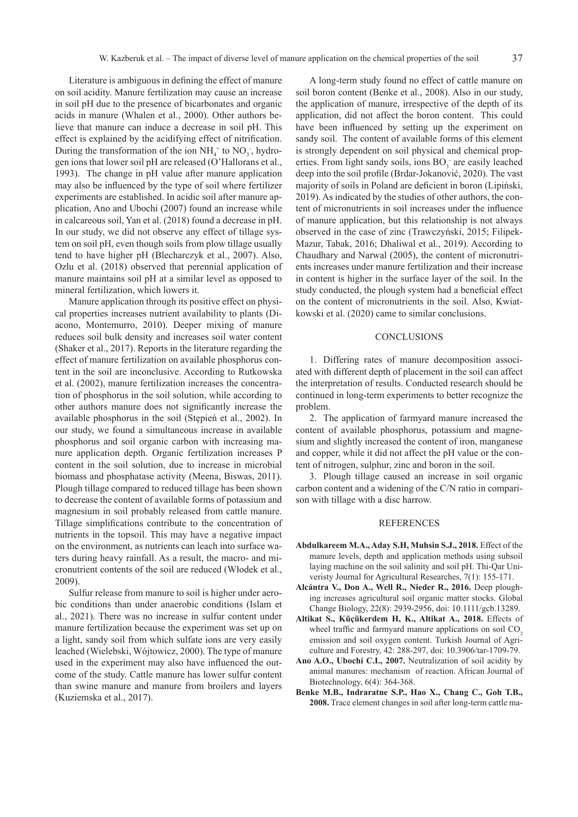Literature is ambiguous in defining the effect of manure on soil acidity. Manure fertilization may cause an increase in soil pH due to the presence of bicarbonates and organic acids in manure (Whalen et al., 2000). Other authors believe that manure can induce a decrease in soil pH. This effect is explained by the acidifying effect of nitrification. During the transformation of the ion  $NH_4^+$  to  $NO_3^-$ , hydrogen ions that lower soil pH are released (O'Hallorans et al., 1993). The change in pH value after manure application may also be influenced by the type of soil where fertilizer experiments are established. In acidic soil after manure application, Ano and Ubochi (2007) found an increase while in calcareous soil, Yan et al. (2018) found a decrease in pH. In our study, we did not observe any effect of tillage system on soil pH, even though soils from plow tillage usually tend to have higher pH (Blecharczyk et al., 2007). Also, Ozlu et al. (2018) observed that perennial application of manure maintains soil pH at a similar level as opposed to mineral fertilization, which lowers it.

Manure application through its positive effect on physical properties increases nutrient availability to plants (Diacono, Montemurro, 2010). Deeper mixing of manure reduces soil bulk density and increases soil water content (Shaker et al., 2017). Reports in the literature regarding the effect of manure fertilization on available phosphorus content in the soil are inconclusive. According to Rutkowska et al. (2002), manure fertilization increases the concentration of phosphorus in the soil solution, while according to other authors manure does not significantly increase the available phosphorus in the soil (Stępień et al., 2002). In our study, we found a simultaneous increase in available phosphorus and soil organic carbon with increasing manure application depth. Organic fertilization increases P content in the soil solution, due to increase in microbial biomass and phosphatase activity (Meena, Biswas, 2011). Plough tillage compared to reduced tillage has been shown to decrease the content of available forms of potassium and magnesium in soil probably released from cattle manure. Tillage simplifications contribute to the concentration of nutrients in the topsoil. This may have a negative impact on the environment, as nutrients can leach into surface waters during heavy rainfall. As a result, the macro- and micronutrient contents of the soil are reduced (Włodek et al., 2009).

Sulfur release from manure to soil is higher under aerobic conditions than under anaerobic conditions (Islam et al., 2021). There was no increase in sulfur content under manure fertilization because the experiment was set up on a light, sandy soil from which sulfate ions are very easily leached (Wielebski, Wójtowicz, 2000). The type of manure used in the experiment may also have influenced the outcome of the study. Cattle manure has lower sulfur content than swine manure and manure from broilers and layers (Kuziemska et al., 2017).

A long-term study found no effect of cattle manure on soil boron content (Benke et al., 2008). Also in our study, the application of manure, irrespective of the depth of its application, did not affect the boron content. This could have been influenced by setting up the experiment on sandy soil. The content of available forms of this element is strongly dependent on soil physical and chemical properties. From light sandy soils, ions  $BO_3^-$  are easily leached deep into the soil profile (Brdar-Jokanović, 2020). The vast majority of soils in Poland are deficient in boron (Lipiński, 2019). As indicated by the studies of other authors, the content of micronutrients in soil increases under the influence of manure application, but this relationship is not always observed in the case of zinc (Trawczyński, 2015; Filipek-Mazur, Tabak, 2016; Dhaliwal et al., 2019). According to Chaudhary and Narwal (2005), the content of micronutrients increases under manure fertilization and their increase in content is higher in the surface layer of the soil. In the study conducted, the plough system had a beneficial effect on the content of micronutrients in the soil. Also, Kwiatkowski et al. (2020) came to similar conclusions.

# **CONCLUSIONS**

1. Differing rates of manure decomposition associated with different depth of placement in the soil can affect the interpretation of results. Conducted research should be continued in long-term experiments to better recognize the problem.

2. The application of farmyard manure increased the content of available phosphorus, potassium and magnesium and slightly increased the content of iron, manganese and copper, while it did not affect the pH value or the content of nitrogen, sulphur, zinc and boron in the soil.

3. Plough tillage caused an increase in soil organic carbon content and a widening of the C/N ratio in comparison with tillage with a disc harrow.

## REFERENCES

- **Abdulkareem M.A., Aday S.H, Muhsin S.J., 2018.** Effect of the manure levels, depth and application methods using subsoil laying machine on the soil salinity and soil pH. Thi-Qar Univeristy Journal for Agricultural Researches, 7(1): 155-171.
- **Alcántra V., Don A., Well R., Nieder R., 2016.** Deep ploughing increases agricultural soil organic matter stocks. Global Change Biology, 22(8): 2939-2956, doi: 10.1111/gcb.13289.
- **Altikat S., Küçükerdem H, K., Altikat A., 2018.** Effects of wheel traffic and farmyard manure applications on soil CO<sub>2</sub> emission and soil oxygen content. Turkish Journal of Agriculture and Forestry, 42: 288-297, doi: 10.3906/tar-1709-79.
- **Ano A.O., Ubochi C.I., 2007.** Neutralization of soil acidity by animal manures: mechanism of reaction. African Journal of Biotechnology, 6(4): 364-368.
- **Benke M.B., Indraratne S.P., Hao X., Chang C., Goh T.B., 2008.** Trace element changes in soil after long-term cattle ma-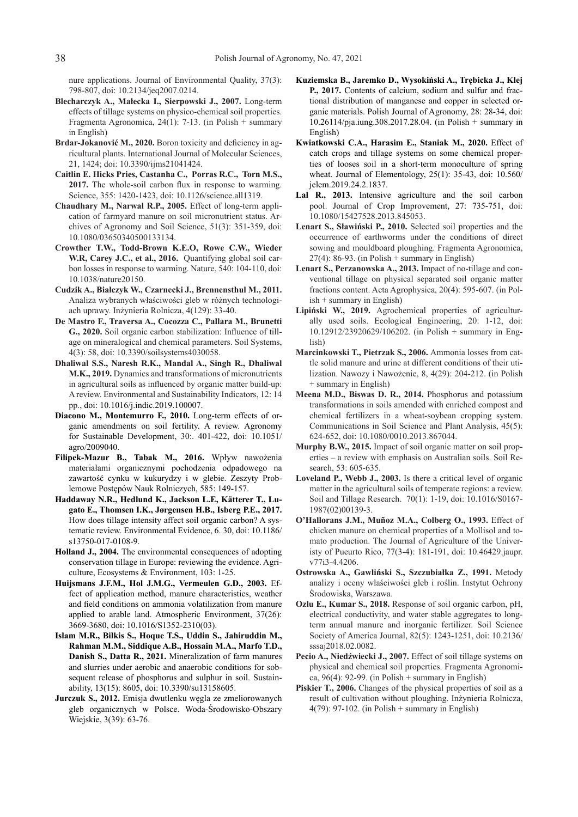nure applications. Journal of Environmental Quality, 37(3): 798-807, doi: 10.2134/jeq2007.0214.

- **Blecharczyk A., Małecka I., Sierpowski J., 2007.** Long-term effects of tillage systems on physico-chemical soil properties. Fragmenta Agronomica, 24(1): 7-13. (in Polish + summary in English)
- **Brdar-Jokanović M., 2020.** Boron toxicity and deficiency in agricultural plants. International Journal of Molecular Sciences, 21, 1424; doi: 10.3390/ijms21041424.
- **Caitlin E. Hicks Pries, Castanha C., Porras R.C., Torn M.S., 2017.** The whole-soil carbon flux in response to warming. Science, 355: 1420-1423, doi: 10.1126/science.all1319.
- **Chaudhary M., Narwal R.P., 2005.** Effect of long-term application of farmyard manure on soil micronutrient status. Archives of Agronomy and Soil Science, 51(3): 351-359, doi: 10.1080/03650340500133134.
- **Crowther T.W., Todd-Brown K.E.O, Rowe C.W., Wieder**  W.R, Carey J.C., et al., 2016. Quantifying global soil carbon losses in response to warming. Nature, 540: 104-110, doi: 10.1038/nature20150.
- **Cudzik A., Białczyk W., Czarnecki J., Brennensthul M., 2011.**  Analiza wybranych właściwości gleb w różnych technologiach uprawy. Inżynieria Rolnicza, 4(129): 33-40.
- **De Mastro F., Traversa A., Cocozza C., Pallara M., Brunetti G., 2020.** Soil organic carbon stabilization: Influence of tillage on mineralogical and chemical parameters. Soil Systems, 4(3): 58, doi: 10.3390/soilsystems4030058.
- **Dhaliwal S.S., Naresh R.K., Mandal A., Singh R., Dhaliwal M.K., 2019.** Dynamics and transformations of micronutrients in agricultural soils as influenced by organic matter build-up: A review. Environmental and Sustainability Indicators, 12: 14 pp., doi: 10.1016/j.indic.2019.100007.
- **Diacono M., Montemurro F., 2010.** Long-term effects of organic amendments on soil fertility. A review. Agronomy for Sustainable Development, 30:. 401-422, doi: 10.1051/ agro/2009040.
- **Filipek-Mazur B., Tabak M., 2016.** Wpływ nawożenia materiałami organicznymi pochodzenia odpadowego na zawartość cynku w kukurydzy i w glebie. Zeszyty Problemowe Postępów Nauk Rolniczych, 585: 149-157.
- **Haddaway N.R., Hedlund K., Jackson L.E, Kätterer T., Lugato E., Thomsen I.K., Jørgensen H.B., Isberg P.E., 2017.**  How does tillage intensity affect soil organic carbon? A systematic review. Environmental Evidence, 6. 30, doi: 10.1186/ s13750-017-0108-9.
- **Holland J., 2004.** The environmental consequences of adopting conservation tillage in Europe: reviewing the evidence. Agriculture, Ecosystems & Environment, 103: 1-25.
- **Huijsmans J.F.M., Hol J.M.G., Vermeulen G.D., 2003.** Effect of application method, manure characteristics, weather and field conditions on ammonia volatilization from manure applied to arable land. Atmospheric Environment, 37(26): 3669-3680, doi: 10.1016/S1352-2310(03).
- **Islam M.R., Bilkis S., Hoque T.S., Uddin S., Jahiruddin M., Rahman M.M., Siddique A.B., Hossain M.A., Marfo T.D., Danish S., Datta R., 2021.** Mineralization of farm manures and slurries under aerobic and anaerobic conditions for sobsequent release of phosphorus and sulphur in soil. Sustainability, 13(15): 8605, doi: 10.3390/su13158605.
- **Jurczuk S., 2012.** Emisja dwutlenku węgla ze zmeliorowanych gleb organicznych w Polsce. Woda-Środowisko-Obszary Wiejskie, 3(39): 63-76.
- **Kuziemska B., Jaremko D., Wysokiński A., Trębicka J., Klej P., 2017.** Contents of calcium, sodium and sulfur and fractional distribution of manganese and copper in selected organic materials. Polish Journal of Agronomy, 28: 28-34, doi: 10.26114/pja.iung.308.2017.28.04. (in Polish + summary in English)
- **Kwiatkowski C.A., Harasim E., Staniak M., 2020.** Effect of catch crops and tillage systems on some chemical properties of looses soil in a short-term monoculture of spring wheat. Journal of Elementology, 25(1): 35-43, doi: 10.560/ jelem.2019.24.2.1837.
- Lal R., 2013. Intensive agriculture and the soil carbon pool. Journal of Crop Improvement, 27: 735-751, doi: 10.1080/15427528.2013.845053.
- **Lenart S., Sławiński P., 2010.** Selected soil properties and the occurrence of earthworms under the conditions of direct sowing and mouldboard ploughing. Fragmenta Agronomica, 27(4): 86-93. (in Polish + summary in English)
- **Lenart S., Perzanowska A., 2013.** Impact of no-tillage and conventional tillage on physical separated soil organic matter fractions content. Acta Agrophysica, 20(4): 595-607. (in Polish + summary in English)
- **Lipiński W., 2019.** Agrochemical properties of agriculturally used soils. Ecological Engineering, 20: 1-12, doi: 10.12912/23920629/106202. (in Polish + summary in English)
- **Marcinkowski T., Pietrzak S., 2006.** Ammonia losses from cattle solid manure and urine at different conditions of their utilization. Nawozy i Nawożenie, 8, 4(29): 204-212. (in Polish + summary in English)
- **Meena M.D., Biswas D. R., 2014.** Phosphorus and potassium transformations in soils amended with enriched compost and chemical fertilizers in a wheat-soybean cropping system. Communications in Soil Science and Plant Analysis, 45(5): 624-652, doi: 10.1080/0010.2013.867044.
- **Murphy B.W., 2015.** Impact of soil organic matter on soil properties – a review with emphasis on Australian soils. Soil Research, 53: 605-635.
- **Loveland P., Webb J., 2003.** Is there a critical level of organic matter in the agricultural soils of temperate regions: a review. Soil and Tillage Research. 70(1): 1-19, doi: 10.1016/S0167- 1987(02)00139-3.
- **O'Hallorans J.M., Muñoz M.A., Colberg O., 1993.** Effect of chicken manure on chemical properties of a Mollisol and tomato production. The Journal of Agriculture of the Univeristy of Pueurto Rico, 77(3-4): 181-191, doi: 10.46429.jaupr. v77i3-4.4206.
- **Ostrowska A., Gawliński S., Szczubiałka Z., 1991.** Metody analizy i oceny właściwości gleb i roślin. Instytut Ochrony Środowiska, Warszawa.
- **Ozlu E., Kumar S., 2018.** Response of soil organic carbon, pH, electrical conductivity, and water stable aggregates to longterm annual manure and inorganic fertilizer. Soil Science Society of America Journal, 82(5): 1243-1251, doi: 10.2136/ sssaj2018.02.0082.
- **Pecio A., Niedźwiecki J., 2007.** Effect of soil tillage systems on physical and chemical soil properties. Fragmenta Agronomica,  $96(4)$ : 92-99. (in Polish + summary in English)
- Piskier T., 2006. Changes of the physical properties of soil as a result of cultivation without ploughing. Inżynieria Rolnicza,  $4(79)$ : 97-102. (in Polish + summary in English)